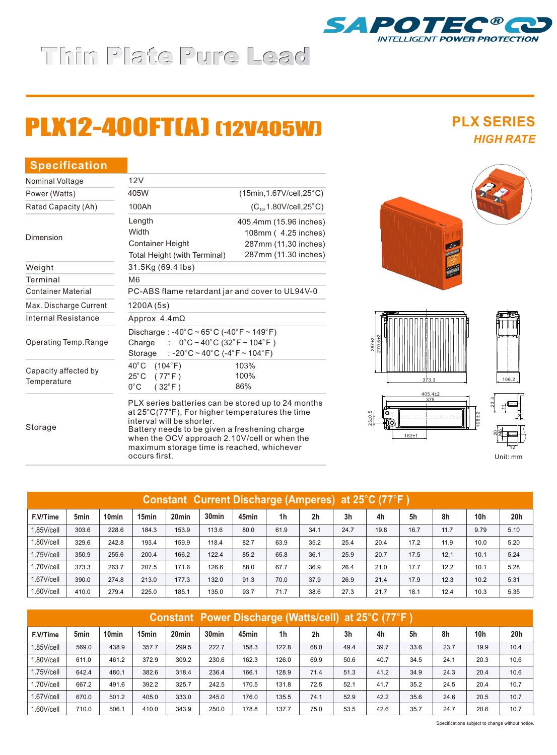## Thin Plate Pure Lead

# PLX12-400FT(A) (12V405W)

### Max. Discharge Current Internal Resistance Operating Temp.Range 12V **Specification** Capacity affected by **Temperature** Length **Width** Container Height Total Height (with Terminal) 1200A (5s) 40°C (104°F)  $25^{\circ}$ C (77 $^{\circ}$ F)  $0^{\circ}$ C (32 $^{\circ}$ F) Discharge : -40°C ~ 65°C (-40°F ~ 149°F) Charge :  $0^{\circ}$ C ~ 40°C (32°F ~ 104°F) Storage : -20°C ~ 40°C (-4°F ~ 104°F) Container Material Nominal Voltage Weight **Terminal** Dimension 31.5Kg (69.4 Ibs) Approx 4.4mΩ 405.4mm (15.96 inches) 108mm ( 4.25 inches) 287mm (11.30 inches) 287mm (11.30 inches) 103% 100% 86% Battery needs to be given a freshening charge<br>Battery needs to be given a freshening charge<br>Battery needs to be given a freshening charge when the OCV approach 2.10V/cell or when the maximum storage time is reached, whichever PLX series batteries can be stored up to 24 months at 25°C(77°F), For higher temperatures the time interval will be shorter. PC-ABS flame retardant jar and cover to UL94V-0 M6 Rated Capacity (Ah) 100Ah  $(C_{10}, 1.80 \text{V/cell}, 25^{\circ} \text{C})$ Power (Watts) <sup>o</sup> 405W (15min,1.67V/cell,25 C)

occurs first.

287±2



**PLX SERIES**





Unit: mm

| Constant Current Discharge (Amperes) at 25°C (77°F) |       |                   |                   |                   |                   |       |      |                |      |      |      |      |                 |                 |
|-----------------------------------------------------|-------|-------------------|-------------------|-------------------|-------------------|-------|------|----------------|------|------|------|------|-----------------|-----------------|
| F.V/Time                                            | 5min  | 10 <sub>min</sub> | 15 <sub>min</sub> | 20 <sub>min</sub> | 30 <sub>min</sub> | 45min | 1h   | 2 <sub>h</sub> | 3h   | 4h   | 5h   | 8h   | 10 <sub>h</sub> | 20 <sub>h</sub> |
| 1.85V/cell                                          | 303.6 | 228.6             | 184.3             | 153.9             | 113.6             | 80.0  | 61.9 | 34.1           | 24.7 | 19.8 | 16.7 | 11.7 | 9.79            | 5.10            |
| 1.80V/cell                                          | 329.6 | 242.8             | 193.4             | 159.9             | 118.4             | 82.7  | 63.9 | 35.2           | 25.4 | 20.4 | 17.2 | 11.9 | 10.0            | 5.20            |
| 1.75V/cell                                          | 350.9 | 255.6             | 200.4             | 166.2             | 122.4             | 85.2  | 65.8 | 36.1           | 25.9 | 20.7 | 17.5 | 12.1 | 10.1            | 5.24            |
| 1.70V/cell                                          | 373.3 | 263.7             | 207.5             | 171.6             | 126.6             | 88.0  | 67.7 | 36.9           | 26.4 | 21.0 | 17.7 | 12.2 | 10.1            | 5.28            |
| 1.67V/cell                                          | 390.0 | 274.8             | 213.0             | 177.3             | 132.0             | 91.3  | 70.0 | 37.9           | 26.9 | 21.4 | 17.9 | 12.3 | 10.2            | 5.31            |
| 1.60V/cell                                          | 410.0 | 279.4             | 225.0             | 185.1             | 135.0             | 93.7  | 71.7 | 38.6           | 27.3 | 21.7 | 18.1 | 12.4 | 10.3            | 5.35            |

| <b>Constant Power Discharge (Watts/cell) at 25°C (77°F)</b> |                  |                   |       |                   |                   |       |                |                |                |      |      |      |                 |      |
|-------------------------------------------------------------|------------------|-------------------|-------|-------------------|-------------------|-------|----------------|----------------|----------------|------|------|------|-----------------|------|
| F.V/Time                                                    | 5 <sub>min</sub> | 10 <sub>min</sub> | 15min | 20 <sub>min</sub> | 30 <sub>min</sub> | 45min | 1 <sub>h</sub> | 2 <sub>h</sub> | 3 <sub>h</sub> | 4h   | 5h   | 8h   | 10 <sub>h</sub> | 20h  |
| 1.85V/cell                                                  | 569.0            | 438.9             | 357.7 | 299.5             | 222.7             | 158.3 | 122.8          | 68.0           | 49.4           | 39.7 | 33.6 | 23.7 | 19.9            | 10.4 |
| 1.80V/cell                                                  | 611.0            | 461.2             | 372.9 | 309.2             | 230.6             | 162.3 | 126.0          | 69.9           | 50.6           | 40.7 | 34.5 | 24.1 | 20.3            | 10.6 |
| 1.75V/cell                                                  | 642.4            | 480.1             | 382.6 | 318.4             | 236.4             | 166.1 | 128.9          | 71.4           | 51.3           | 41.2 | 34.9 | 24.3 | 20.4            | 10.6 |
| 1.70V/cell                                                  | 667.2            | 491.6             | 392.2 | 325.7             | 242.5             | 170.5 | 131.8          | 72.5           | 52.1           | 41.7 | 35.2 | 24.5 | 20.4            | 10.7 |
| 1.67V/cell                                                  | 670.0            | 501.2             | 405.0 | 333.0             | 245.0             | 176.0 | 135.5          | 74.1           | 52.9           | 42.2 | 35.6 | 24.6 | 20.5            | 10.7 |
| 1.60V/cell                                                  | 710.0            | 506.1             | 410.0 | 343.9             | 250.0             | 178.8 | 137.7          | 75.0           | 53.5           | 42.6 | 35.7 | 24.7 | 20.6            | 10.7 |

Specifications subject to change without notice.